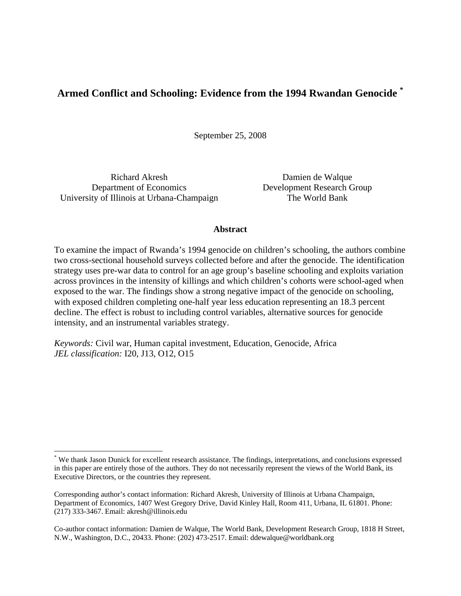# **Armed Conflict and Schooling: Evidence from the 1994 Rwandan Genocide \***

September 25, 2008

Richard Akresh Department of Economics University of Illinois at Urbana-Champaign

 $\overline{a}$ 

Damien de Walque Development Research Group The World Bank

# **Abstract**

To examine the impact of Rwanda's 1994 genocide on children's schooling, the authors combine two cross-sectional household surveys collected before and after the genocide. The identification strategy uses pre-war data to control for an age group's baseline schooling and exploits variation across provinces in the intensity of killings and which children's cohorts were school-aged when exposed to the war. The findings show a strong negative impact of the genocide on schooling, with exposed children completing one-half year less education representing an 18.3 percent decline. The effect is robust to including control variables, alternative sources for genocide intensity, and an instrumental variables strategy.

*Keywords:* Civil war, Human capital investment, Education, Genocide, Africa *JEL classification:* I20, J13, O12, O15

<sup>\*</sup> We thank Jason Dunick for excellent research assistance. The findings, interpretations, and conclusions expressed in this paper are entirely those of the authors. They do not necessarily represent the views of the World Bank, its Executive Directors, or the countries they represent.

Corresponding author's contact information: Richard Akresh, University of Illinois at Urbana Champaign, Department of Economics, 1407 West Gregory Drive, David Kinley Hall, Room 411, Urbana, IL 61801. Phone: (217) 333-3467. Email: akresh@illinois.edu

Co-author contact information: Damien de Walque, The World Bank, Development Research Group, 1818 H Street, N.W., Washington, D.C., 20433. Phone: (202) 473-2517. Email: ddewalque@worldbank.org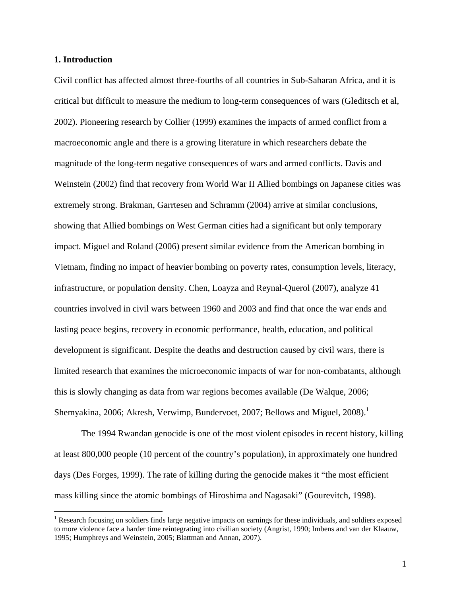# **1. Introduction**

 $\overline{a}$ 

Civil conflict has affected almost three-fourths of all countries in Sub-Saharan Africa, and it is critical but difficult to measure the medium to long-term consequences of wars (Gleditsch et al, 2002). Pioneering research by Collier (1999) examines the impacts of armed conflict from a macroeconomic angle and there is a growing literature in which researchers debate the magnitude of the long-term negative consequences of wars and armed conflicts. Davis and Weinstein (2002) find that recovery from World War II Allied bombings on Japanese cities was extremely strong. Brakman, Garrtesen and Schramm (2004) arrive at similar conclusions, showing that Allied bombings on West German cities had a significant but only temporary impact. Miguel and Roland (2006) present similar evidence from the American bombing in Vietnam, finding no impact of heavier bombing on poverty rates, consumption levels, literacy, infrastructure, or population density. Chen, Loayza and Reynal-Querol (2007), analyze 41 countries involved in civil wars between 1960 and 2003 and find that once the war ends and lasting peace begins, recovery in economic performance, health, education, and political development is significant. Despite the deaths and destruction caused by civil wars, there is limited research that examines the microeconomic impacts of war for non-combatants, although this is slowly changing as data from war regions becomes available (De Walque, 2006; Shemyakina, 2006; Akresh, Verwimp, Bundervoet, 2007; Bellows and Miguel, 2008).<sup>1</sup>

The 1994 Rwandan genocide is one of the most violent episodes in recent history, killing at least 800,000 people (10 percent of the country's population), in approximately one hundred days (Des Forges, 1999). The rate of killing during the genocide makes it "the most efficient mass killing since the atomic bombings of Hiroshima and Nagasaki" (Gourevitch, 1998).

<sup>&</sup>lt;sup>1</sup> Research focusing on soldiers finds large negative impacts on earnings for these individuals, and soldiers exposed to more violence face a harder time reintegrating into civilian society (Angrist, 1990; Imbens and van der Klaauw, 1995; Humphreys and Weinstein, 2005; Blattman and Annan, 2007).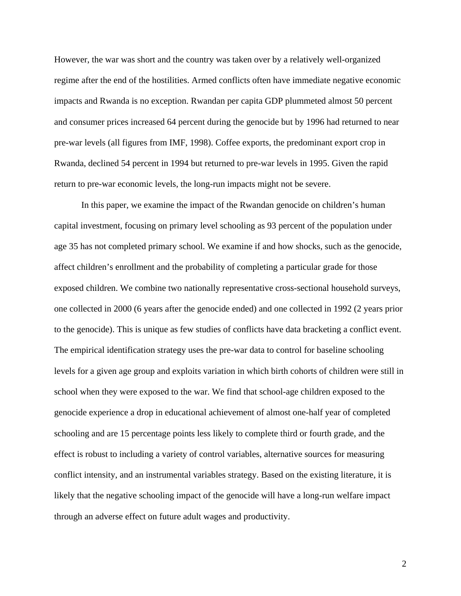However, the war was short and the country was taken over by a relatively well-organized regime after the end of the hostilities. Armed conflicts often have immediate negative economic impacts and Rwanda is no exception. Rwandan per capita GDP plummeted almost 50 percent and consumer prices increased 64 percent during the genocide but by 1996 had returned to near pre-war levels (all figures from IMF, 1998). Coffee exports, the predominant export crop in Rwanda, declined 54 percent in 1994 but returned to pre-war levels in 1995. Given the rapid return to pre-war economic levels, the long-run impacts might not be severe.

In this paper, we examine the impact of the Rwandan genocide on children's human capital investment, focusing on primary level schooling as 93 percent of the population under age 35 has not completed primary school. We examine if and how shocks, such as the genocide, affect children's enrollment and the probability of completing a particular grade for those exposed children. We combine two nationally representative cross-sectional household surveys, one collected in 2000 (6 years after the genocide ended) and one collected in 1992 (2 years prior to the genocide). This is unique as few studies of conflicts have data bracketing a conflict event. The empirical identification strategy uses the pre-war data to control for baseline schooling levels for a given age group and exploits variation in which birth cohorts of children were still in school when they were exposed to the war. We find that school-age children exposed to the genocide experience a drop in educational achievement of almost one-half year of completed schooling and are 15 percentage points less likely to complete third or fourth grade, and the effect is robust to including a variety of control variables, alternative sources for measuring conflict intensity, and an instrumental variables strategy. Based on the existing literature, it is likely that the negative schooling impact of the genocide will have a long-run welfare impact through an adverse effect on future adult wages and productivity.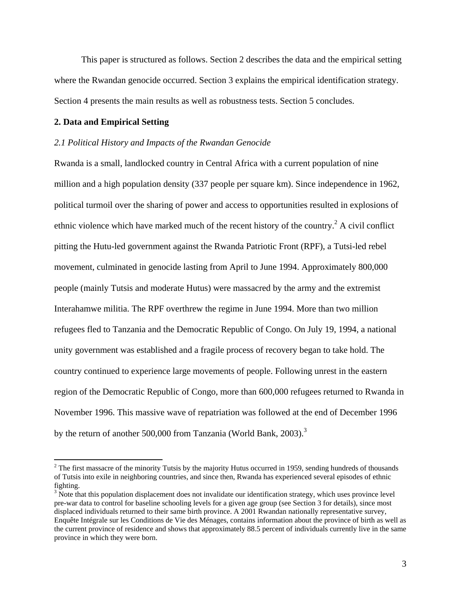This paper is structured as follows. Section 2 describes the data and the empirical setting where the Rwandan genocide occurred. Section 3 explains the empirical identification strategy. Section 4 presents the main results as well as robustness tests. Section 5 concludes.

### **2. Data and Empirical Setting**

 $\overline{a}$ 

#### *2.1 Political History and Impacts of the Rwandan Genocide*

Rwanda is a small, landlocked country in Central Africa with a current population of nine million and a high population density (337 people per square km). Since independence in 1962, political turmoil over the sharing of power and access to opportunities resulted in explosions of ethnic violence which have marked much of the recent history of the country.<sup>2</sup> A civil conflict pitting the Hutu-led government against the Rwanda Patriotic Front (RPF), a Tutsi-led rebel movement, culminated in genocide lasting from April to June 1994. Approximately 800,000 people (mainly Tutsis and moderate Hutus) were massacred by the army and the extremist Interahamwe militia. The RPF overthrew the regime in June 1994. More than two million refugees fled to Tanzania and the Democratic Republic of Congo. On July 19, 1994, a national unity government was established and a fragile process of recovery began to take hold. The country continued to experience large movements of people. Following unrest in the eastern region of the Democratic Republic of Congo, more than 600,000 refugees returned to Rwanda in November 1996. This massive wave of repatriation was followed at the end of December 1996 by the return of another 500,000 from Tanzania (World Bank, 2003).<sup>3</sup>

 $2^2$  The first massacre of the minority Tutsis by the majority Hutus occurred in 1959, sending hundreds of thousands of Tutsis into exile in neighboring countries, and since then, Rwanda has experienced several episodes of ethnic fighting.

 $3$  Note that this population displacement does not invalidate our identification strategy, which uses province level pre-war data to control for baseline schooling levels for a given age group (see Section 3 for details), since most displaced individuals returned to their same birth province. A 2001 Rwandan nationally representative survey, Enquête Intégrale sur les Conditions de Vie des Ménages, contains information about the province of birth as well as the current province of residence and shows that approximately 88.5 percent of individuals currently live in the same province in which they were born.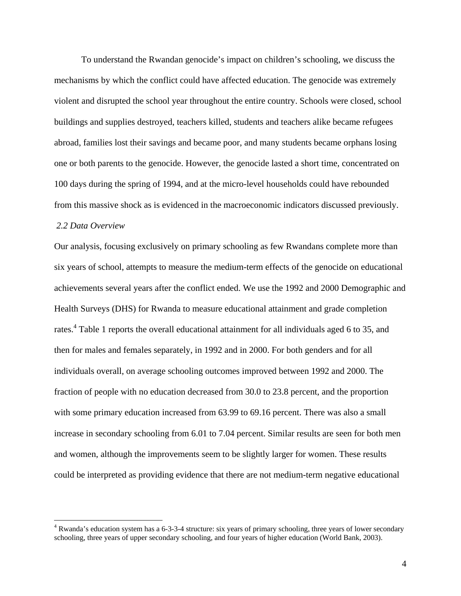To understand the Rwandan genocide's impact on children's schooling, we discuss the mechanisms by which the conflict could have affected education. The genocide was extremely violent and disrupted the school year throughout the entire country. Schools were closed, school buildings and supplies destroyed, teachers killed, students and teachers alike became refugees abroad, families lost their savings and became poor, and many students became orphans losing one or both parents to the genocide. However, the genocide lasted a short time, concentrated on 100 days during the spring of 1994, and at the micro-level households could have rebounded from this massive shock as is evidenced in the macroeconomic indicators discussed previously.

# *2.2 Data Overview*

1

Our analysis, focusing exclusively on primary schooling as few Rwandans complete more than six years of school, attempts to measure the medium-term effects of the genocide on educational achievements several years after the conflict ended. We use the 1992 and 2000 Demographic and Health Surveys (DHS) for Rwanda to measure educational attainment and grade completion rates.<sup>4</sup> Table 1 reports the overall educational attainment for all individuals aged 6 to 35, and then for males and females separately, in 1992 and in 2000. For both genders and for all individuals overall, on average schooling outcomes improved between 1992 and 2000. The fraction of people with no education decreased from 30.0 to 23.8 percent, and the proportion with some primary education increased from 63.99 to 69.16 percent. There was also a small increase in secondary schooling from 6.01 to 7.04 percent. Similar results are seen for both men and women, although the improvements seem to be slightly larger for women. These results could be interpreted as providing evidence that there are not medium-term negative educational

<sup>&</sup>lt;sup>4</sup> Rwanda's education system has a 6-3-3-4 structure: six years of primary schooling, three years of lower secondary schooling, three years of upper secondary schooling, and four years of higher education (World Bank, 2003).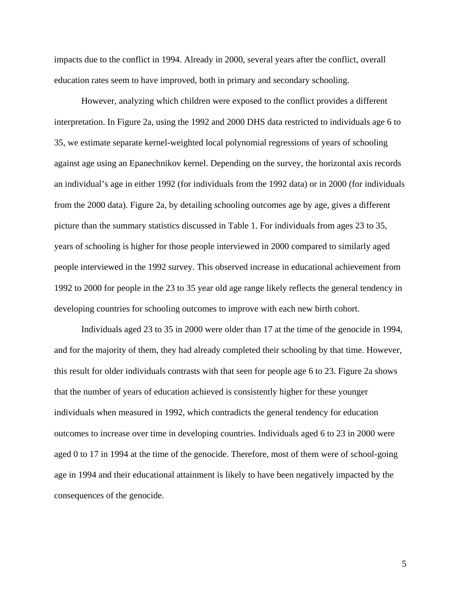impacts due to the conflict in 1994. Already in 2000, several years after the conflict, overall education rates seem to have improved, both in primary and secondary schooling.

However, analyzing which children were exposed to the conflict provides a different interpretation. In Figure 2a, using the 1992 and 2000 DHS data restricted to individuals age 6 to 35, we estimate separate kernel-weighted local polynomial regressions of years of schooling against age using an Epanechnikov kernel. Depending on the survey, the horizontal axis records an individual's age in either 1992 (for individuals from the 1992 data) or in 2000 (for individuals from the 2000 data). Figure 2a, by detailing schooling outcomes age by age, gives a different picture than the summary statistics discussed in Table 1. For individuals from ages 23 to 35, years of schooling is higher for those people interviewed in 2000 compared to similarly aged people interviewed in the 1992 survey. This observed increase in educational achievement from 1992 to 2000 for people in the 23 to 35 year old age range likely reflects the general tendency in developing countries for schooling outcomes to improve with each new birth cohort.

Individuals aged 23 to 35 in 2000 were older than 17 at the time of the genocide in 1994, and for the majority of them, they had already completed their schooling by that time. However, this result for older individuals contrasts with that seen for people age 6 to 23. Figure 2a shows that the number of years of education achieved is consistently higher for these younger individuals when measured in 1992, which contradicts the general tendency for education outcomes to increase over time in developing countries. Individuals aged 6 to 23 in 2000 were aged 0 to 17 in 1994 at the time of the genocide. Therefore, most of them were of school-going age in 1994 and their educational attainment is likely to have been negatively impacted by the consequences of the genocide.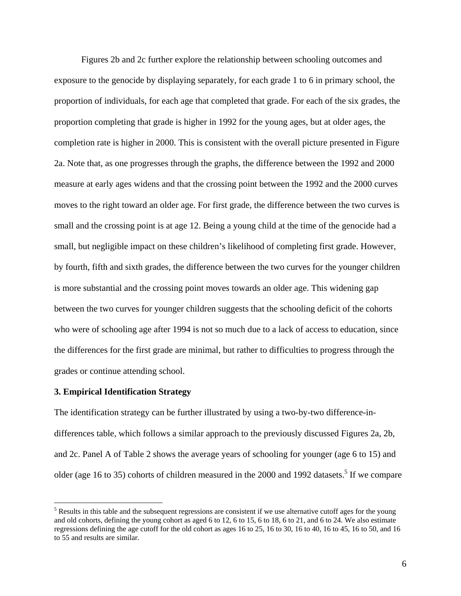Figures 2b and 2c further explore the relationship between schooling outcomes and exposure to the genocide by displaying separately, for each grade 1 to 6 in primary school, the proportion of individuals, for each age that completed that grade. For each of the six grades, the proportion completing that grade is higher in 1992 for the young ages, but at older ages, the completion rate is higher in 2000. This is consistent with the overall picture presented in Figure 2a. Note that, as one progresses through the graphs, the difference between the 1992 and 2000 measure at early ages widens and that the crossing point between the 1992 and the 2000 curves moves to the right toward an older age. For first grade, the difference between the two curves is small and the crossing point is at age 12. Being a young child at the time of the genocide had a small, but negligible impact on these children's likelihood of completing first grade. However, by fourth, fifth and sixth grades, the difference between the two curves for the younger children is more substantial and the crossing point moves towards an older age. This widening gap between the two curves for younger children suggests that the schooling deficit of the cohorts who were of schooling age after 1994 is not so much due to a lack of access to education, since the differences for the first grade are minimal, but rather to difficulties to progress through the grades or continue attending school.

# **3. Empirical Identification Strategy**

<u>.</u>

The identification strategy can be further illustrated by using a two-by-two difference-indifferences table, which follows a similar approach to the previously discussed Figures 2a, 2b, and 2c. Panel A of Table 2 shows the average years of schooling for younger (age 6 to 15) and older (age 16 to 35) cohorts of children measured in the 2000 and 1992 datasets.<sup>5</sup> If we compare

 $<sup>5</sup>$  Results in this table and the subsequent regressions are consistent if we use alternative cutoff ages for the young</sup> and old cohorts, defining the young cohort as aged 6 to 12, 6 to 15, 6 to 18, 6 to 21, and 6 to 24. We also estimate regressions defining the age cutoff for the old cohort as ages 16 to 25, 16 to 30, 16 to 40, 16 to 45, 16 to 50, and 16 to 55 and results are similar.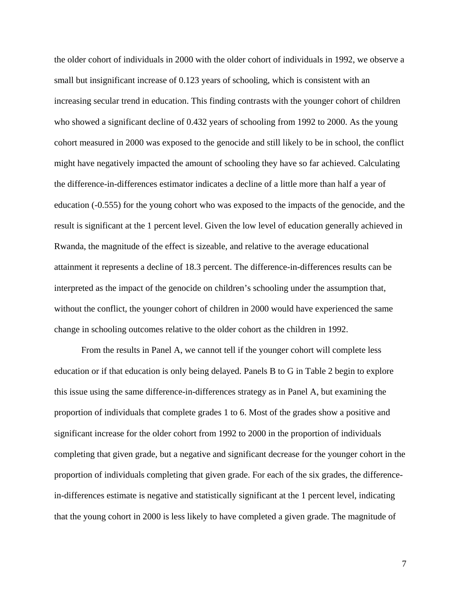the older cohort of individuals in 2000 with the older cohort of individuals in 1992, we observe a small but insignificant increase of 0.123 years of schooling, which is consistent with an increasing secular trend in education. This finding contrasts with the younger cohort of children who showed a significant decline of 0.432 years of schooling from 1992 to 2000. As the young cohort measured in 2000 was exposed to the genocide and still likely to be in school, the conflict might have negatively impacted the amount of schooling they have so far achieved. Calculating the difference-in-differences estimator indicates a decline of a little more than half a year of education (-0.555) for the young cohort who was exposed to the impacts of the genocide, and the result is significant at the 1 percent level. Given the low level of education generally achieved in Rwanda, the magnitude of the effect is sizeable, and relative to the average educational attainment it represents a decline of 18.3 percent. The difference-in-differences results can be interpreted as the impact of the genocide on children's schooling under the assumption that, without the conflict, the younger cohort of children in 2000 would have experienced the same change in schooling outcomes relative to the older cohort as the children in 1992.

From the results in Panel A, we cannot tell if the younger cohort will complete less education or if that education is only being delayed. Panels B to G in Table 2 begin to explore this issue using the same difference-in-differences strategy as in Panel A, but examining the proportion of individuals that complete grades 1 to 6. Most of the grades show a positive and significant increase for the older cohort from 1992 to 2000 in the proportion of individuals completing that given grade, but a negative and significant decrease for the younger cohort in the proportion of individuals completing that given grade. For each of the six grades, the differencein-differences estimate is negative and statistically significant at the 1 percent level, indicating that the young cohort in 2000 is less likely to have completed a given grade. The magnitude of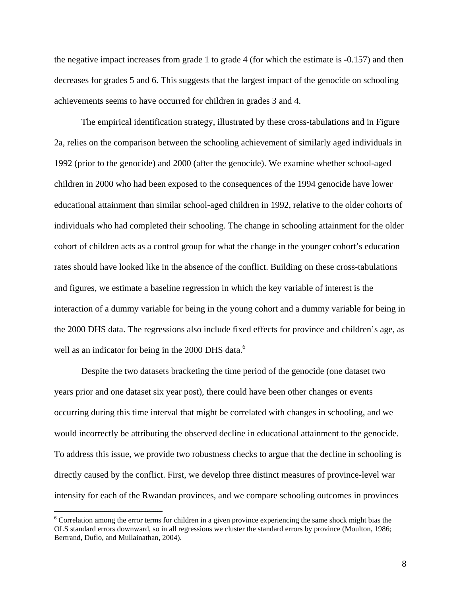the negative impact increases from grade 1 to grade 4 (for which the estimate is -0.157) and then decreases for grades 5 and 6. This suggests that the largest impact of the genocide on schooling achievements seems to have occurred for children in grades 3 and 4.

The empirical identification strategy, illustrated by these cross-tabulations and in Figure 2a, relies on the comparison between the schooling achievement of similarly aged individuals in 1992 (prior to the genocide) and 2000 (after the genocide). We examine whether school-aged children in 2000 who had been exposed to the consequences of the 1994 genocide have lower educational attainment than similar school-aged children in 1992, relative to the older cohorts of individuals who had completed their schooling. The change in schooling attainment for the older cohort of children acts as a control group for what the change in the younger cohort's education rates should have looked like in the absence of the conflict. Building on these cross-tabulations and figures, we estimate a baseline regression in which the key variable of interest is the interaction of a dummy variable for being in the young cohort and a dummy variable for being in the 2000 DHS data. The regressions also include fixed effects for province and children's age, as well as an indicator for being in the 2000 DHS data.<sup>6</sup>

Despite the two datasets bracketing the time period of the genocide (one dataset two years prior and one dataset six year post), there could have been other changes or events occurring during this time interval that might be correlated with changes in schooling, and we would incorrectly be attributing the observed decline in educational attainment to the genocide. To address this issue, we provide two robustness checks to argue that the decline in schooling is directly caused by the conflict. First, we develop three distinct measures of province-level war intensity for each of the Rwandan provinces, and we compare schooling outcomes in provinces

<sup>&</sup>lt;sup>6</sup> Correlation among the error terms for children in a given province experiencing the same shock might bias the OLS standard errors downward, so in all regressions we cluster the standard errors by province (Moulton, 1986; Bertrand, Duflo, and Mullainathan, 2004).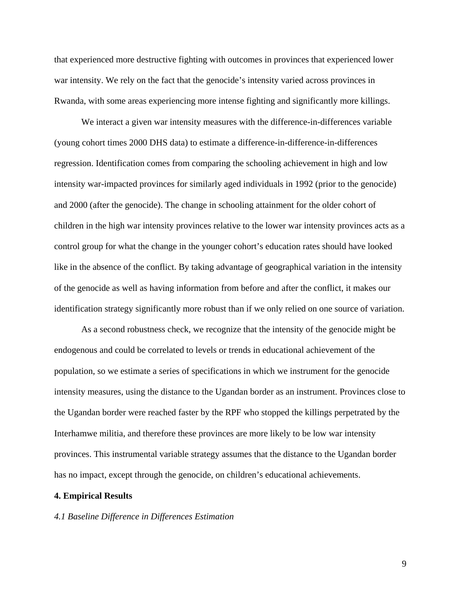that experienced more destructive fighting with outcomes in provinces that experienced lower war intensity. We rely on the fact that the genocide's intensity varied across provinces in Rwanda, with some areas experiencing more intense fighting and significantly more killings.

We interact a given war intensity measures with the difference-in-differences variable (young cohort times 2000 DHS data) to estimate a difference-in-difference-in-differences regression. Identification comes from comparing the schooling achievement in high and low intensity war-impacted provinces for similarly aged individuals in 1992 (prior to the genocide) and 2000 (after the genocide). The change in schooling attainment for the older cohort of children in the high war intensity provinces relative to the lower war intensity provinces acts as a control group for what the change in the younger cohort's education rates should have looked like in the absence of the conflict. By taking advantage of geographical variation in the intensity of the genocide as well as having information from before and after the conflict, it makes our identification strategy significantly more robust than if we only relied on one source of variation.

As a second robustness check, we recognize that the intensity of the genocide might be endogenous and could be correlated to levels or trends in educational achievement of the population, so we estimate a series of specifications in which we instrument for the genocide intensity measures, using the distance to the Ugandan border as an instrument. Provinces close to the Ugandan border were reached faster by the RPF who stopped the killings perpetrated by the Interhamwe militia, and therefore these provinces are more likely to be low war intensity provinces. This instrumental variable strategy assumes that the distance to the Ugandan border has no impact, except through the genocide, on children's educational achievements.

### **4. Empirical Results**

#### *4.1 Baseline Difference in Differences Estimation*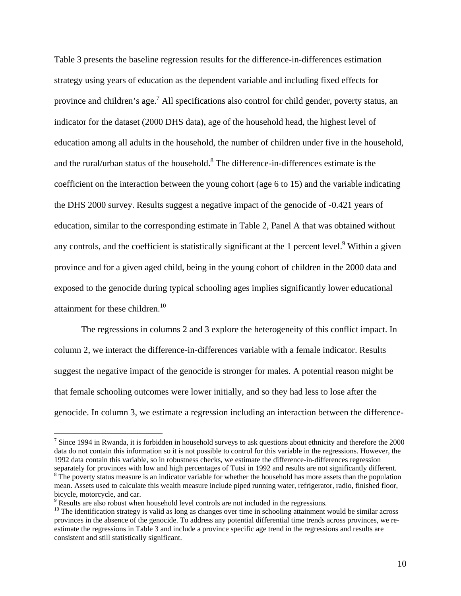Table 3 presents the baseline regression results for the difference-in-differences estimation strategy using years of education as the dependent variable and including fixed effects for province and children's age.<sup>7</sup> All specifications also control for child gender, poverty status, an indicator for the dataset (2000 DHS data), age of the household head, the highest level of education among all adults in the household, the number of children under five in the household, and the rural/urban status of the household.<sup>8</sup> The difference-in-differences estimate is the coefficient on the interaction between the young cohort (age 6 to 15) and the variable indicating the DHS 2000 survey. Results suggest a negative impact of the genocide of -0.421 years of education, similar to the corresponding estimate in Table 2, Panel A that was obtained without any controls, and the coefficient is statistically significant at the 1 percent level.<sup>9</sup> Within a given province and for a given aged child, being in the young cohort of children in the 2000 data and exposed to the genocide during typical schooling ages implies significantly lower educational attainment for these children.<sup>10</sup>

The regressions in columns 2 and 3 explore the heterogeneity of this conflict impact. In column 2, we interact the difference-in-differences variable with a female indicator. Results suggest the negative impact of the genocide is stronger for males. A potential reason might be that female schooling outcomes were lower initially, and so they had less to lose after the genocide. In column 3, we estimate a regression including an interaction between the difference-

 $\overline{a}$ 

<sup>&</sup>lt;sup>7</sup> Since 1994 in Rwanda, it is forbidden in household surveys to ask questions about ethnicity and therefore the  $2000$ data do not contain this information so it is not possible to control for this variable in the regressions. However, the 1992 data contain this variable, so in robustness checks, we estimate the difference-in-differences regression separately for provinces with low and high percentages of Tutsi in 1992 and results are not significantly different. <sup>8</sup> The poverty status measure is an indicator variable for whether the household has more assets than the population mean. Assets used to calculate this wealth measure include piped running water, refrigerator, radio, finished floor, bicycle, motorcycle, and car.

 $9$  Results are also robust when household level controls are not included in the regressions.

 $10$  The identification strategy is valid as long as changes over time in schooling attainment would be similar across provinces in the absence of the genocide. To address any potential differential time trends across provinces, we reestimate the regressions in Table 3 and include a province specific age trend in the regressions and results are consistent and still statistically significant.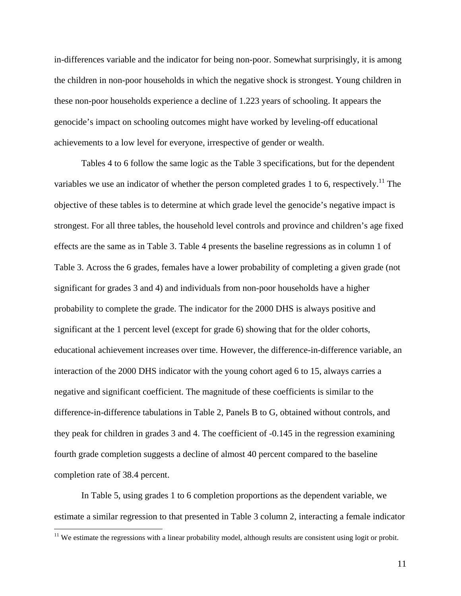in-differences variable and the indicator for being non-poor. Somewhat surprisingly, it is among the children in non-poor households in which the negative shock is strongest. Young children in these non-poor households experience a decline of 1.223 years of schooling. It appears the genocide's impact on schooling outcomes might have worked by leveling-off educational achievements to a low level for everyone, irrespective of gender or wealth.

Tables 4 to 6 follow the same logic as the Table 3 specifications, but for the dependent variables we use an indicator of whether the person completed grades 1 to 6, respectively.<sup>11</sup> The objective of these tables is to determine at which grade level the genocide's negative impact is strongest. For all three tables, the household level controls and province and children's age fixed effects are the same as in Table 3. Table 4 presents the baseline regressions as in column 1 of Table 3. Across the 6 grades, females have a lower probability of completing a given grade (not significant for grades 3 and 4) and individuals from non-poor households have a higher probability to complete the grade. The indicator for the 2000 DHS is always positive and significant at the 1 percent level (except for grade 6) showing that for the older cohorts, educational achievement increases over time. However, the difference-in-difference variable, an interaction of the 2000 DHS indicator with the young cohort aged 6 to 15, always carries a negative and significant coefficient. The magnitude of these coefficients is similar to the difference-in-difference tabulations in Table 2, Panels B to G, obtained without controls, and they peak for children in grades 3 and 4. The coefficient of -0.145 in the regression examining fourth grade completion suggests a decline of almost 40 percent compared to the baseline completion rate of 38.4 percent.

In Table 5, using grades 1 to 6 completion proportions as the dependent variable, we estimate a similar regression to that presented in Table 3 column 2, interacting a female indicator

 $\overline{a}$ 

 $11$  We estimate the regressions with a linear probability model, although results are consistent using logit or probit.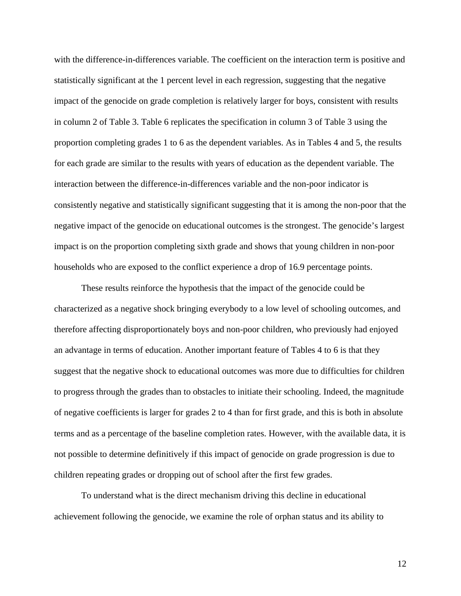with the difference-in-differences variable. The coefficient on the interaction term is positive and statistically significant at the 1 percent level in each regression, suggesting that the negative impact of the genocide on grade completion is relatively larger for boys, consistent with results in column 2 of Table 3. Table 6 replicates the specification in column 3 of Table 3 using the proportion completing grades 1 to 6 as the dependent variables. As in Tables 4 and 5, the results for each grade are similar to the results with years of education as the dependent variable. The interaction between the difference-in-differences variable and the non-poor indicator is consistently negative and statistically significant suggesting that it is among the non-poor that the negative impact of the genocide on educational outcomes is the strongest. The genocide's largest impact is on the proportion completing sixth grade and shows that young children in non-poor households who are exposed to the conflict experience a drop of 16.9 percentage points.

These results reinforce the hypothesis that the impact of the genocide could be characterized as a negative shock bringing everybody to a low level of schooling outcomes, and therefore affecting disproportionately boys and non-poor children, who previously had enjoyed an advantage in terms of education. Another important feature of Tables 4 to 6 is that they suggest that the negative shock to educational outcomes was more due to difficulties for children to progress through the grades than to obstacles to initiate their schooling. Indeed, the magnitude of negative coefficients is larger for grades 2 to 4 than for first grade, and this is both in absolute terms and as a percentage of the baseline completion rates. However, with the available data, it is not possible to determine definitively if this impact of genocide on grade progression is due to children repeating grades or dropping out of school after the first few grades.

To understand what is the direct mechanism driving this decline in educational achievement following the genocide, we examine the role of orphan status and its ability to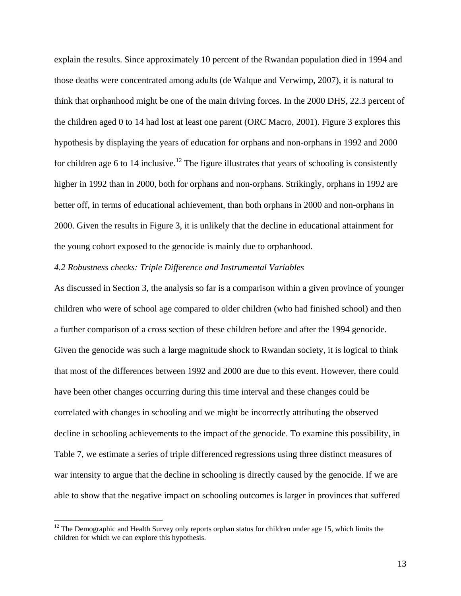explain the results. Since approximately 10 percent of the Rwandan population died in 1994 and those deaths were concentrated among adults (de Walque and Verwimp, 2007), it is natural to think that orphanhood might be one of the main driving forces. In the 2000 DHS, 22.3 percent of the children aged 0 to 14 had lost at least one parent (ORC Macro, 2001). Figure 3 explores this hypothesis by displaying the years of education for orphans and non-orphans in 1992 and 2000 for children age 6 to 14 inclusive.<sup>12</sup> The figure illustrates that years of schooling is consistently higher in 1992 than in 2000, both for orphans and non-orphans. Strikingly, orphans in 1992 are better off, in terms of educational achievement, than both orphans in 2000 and non-orphans in 2000. Given the results in Figure 3, it is unlikely that the decline in educational attainment for the young cohort exposed to the genocide is mainly due to orphanhood.

## *4.2 Robustness checks: Triple Difference and Instrumental Variables*

As discussed in Section 3, the analysis so far is a comparison within a given province of younger children who were of school age compared to older children (who had finished school) and then a further comparison of a cross section of these children before and after the 1994 genocide. Given the genocide was such a large magnitude shock to Rwandan society, it is logical to think that most of the differences between 1992 and 2000 are due to this event. However, there could have been other changes occurring during this time interval and these changes could be correlated with changes in schooling and we might be incorrectly attributing the observed decline in schooling achievements to the impact of the genocide. To examine this possibility, in Table 7, we estimate a series of triple differenced regressions using three distinct measures of war intensity to argue that the decline in schooling is directly caused by the genocide. If we are able to show that the negative impact on schooling outcomes is larger in provinces that suffered

 $\overline{a}$ 

 $12$  The Demographic and Health Survey only reports orphan status for children under age 15, which limits the children for which we can explore this hypothesis.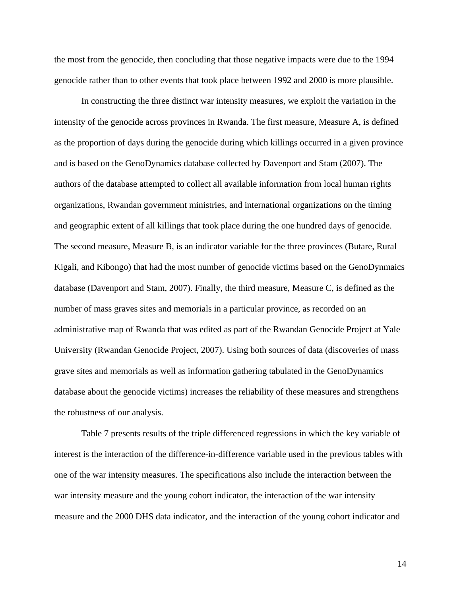the most from the genocide, then concluding that those negative impacts were due to the 1994 genocide rather than to other events that took place between 1992 and 2000 is more plausible.

In constructing the three distinct war intensity measures, we exploit the variation in the intensity of the genocide across provinces in Rwanda. The first measure, Measure A, is defined as the proportion of days during the genocide during which killings occurred in a given province and is based on the GenoDynamics database collected by Davenport and Stam (2007). The authors of the database attempted to collect all available information from local human rights organizations, Rwandan government ministries, and international organizations on the timing and geographic extent of all killings that took place during the one hundred days of genocide. The second measure, Measure B, is an indicator variable for the three provinces (Butare, Rural Kigali, and Kibongo) that had the most number of genocide victims based on the GenoDynmaics database (Davenport and Stam, 2007). Finally, the third measure, Measure C, is defined as the number of mass graves sites and memorials in a particular province, as recorded on an administrative map of Rwanda that was edited as part of the Rwandan Genocide Project at Yale University (Rwandan Genocide Project, 2007). Using both sources of data (discoveries of mass grave sites and memorials as well as information gathering tabulated in the GenoDynamics database about the genocide victims) increases the reliability of these measures and strengthens the robustness of our analysis.

Table 7 presents results of the triple differenced regressions in which the key variable of interest is the interaction of the difference-in-difference variable used in the previous tables with one of the war intensity measures. The specifications also include the interaction between the war intensity measure and the young cohort indicator, the interaction of the war intensity measure and the 2000 DHS data indicator, and the interaction of the young cohort indicator and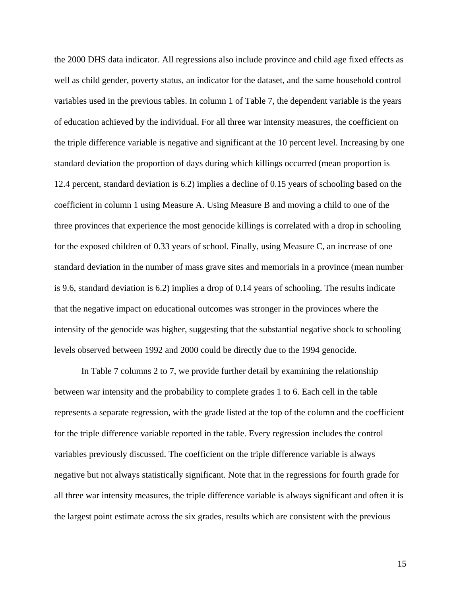the 2000 DHS data indicator. All regressions also include province and child age fixed effects as well as child gender, poverty status, an indicator for the dataset, and the same household control variables used in the previous tables. In column 1 of Table 7, the dependent variable is the years of education achieved by the individual. For all three war intensity measures, the coefficient on the triple difference variable is negative and significant at the 10 percent level. Increasing by one standard deviation the proportion of days during which killings occurred (mean proportion is 12.4 percent, standard deviation is 6.2) implies a decline of 0.15 years of schooling based on the coefficient in column 1 using Measure A. Using Measure B and moving a child to one of the three provinces that experience the most genocide killings is correlated with a drop in schooling for the exposed children of 0.33 years of school. Finally, using Measure C, an increase of one standard deviation in the number of mass grave sites and memorials in a province (mean number is 9.6, standard deviation is 6.2) implies a drop of 0.14 years of schooling. The results indicate that the negative impact on educational outcomes was stronger in the provinces where the intensity of the genocide was higher, suggesting that the substantial negative shock to schooling levels observed between 1992 and 2000 could be directly due to the 1994 genocide.

In Table 7 columns 2 to 7, we provide further detail by examining the relationship between war intensity and the probability to complete grades 1 to 6. Each cell in the table represents a separate regression, with the grade listed at the top of the column and the coefficient for the triple difference variable reported in the table. Every regression includes the control variables previously discussed. The coefficient on the triple difference variable is always negative but not always statistically significant. Note that in the regressions for fourth grade for all three war intensity measures, the triple difference variable is always significant and often it is the largest point estimate across the six grades, results which are consistent with the previous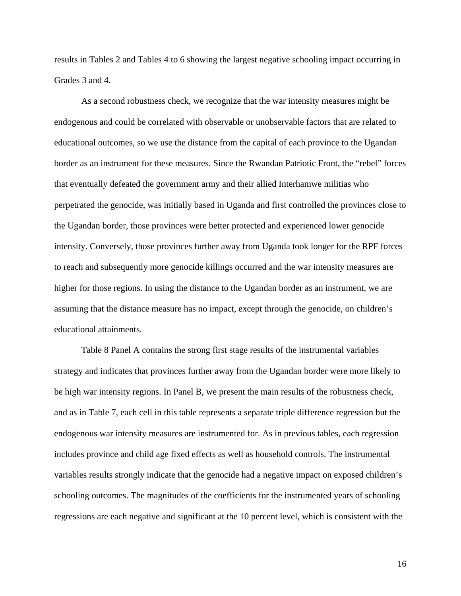results in Tables 2 and Tables 4 to 6 showing the largest negative schooling impact occurring in Grades 3 and 4.

As a second robustness check, we recognize that the war intensity measures might be endogenous and could be correlated with observable or unobservable factors that are related to educational outcomes, so we use the distance from the capital of each province to the Ugandan border as an instrument for these measures. Since the Rwandan Patriotic Front, the "rebel" forces that eventually defeated the government army and their allied Interhamwe militias who perpetrated the genocide, was initially based in Uganda and first controlled the provinces close to the Ugandan border, those provinces were better protected and experienced lower genocide intensity. Conversely, those provinces further away from Uganda took longer for the RPF forces to reach and subsequently more genocide killings occurred and the war intensity measures are higher for those regions. In using the distance to the Ugandan border as an instrument, we are assuming that the distance measure has no impact, except through the genocide, on children's educational attainments.

Table 8 Panel A contains the strong first stage results of the instrumental variables strategy and indicates that provinces further away from the Ugandan border were more likely to be high war intensity regions. In Panel B, we present the main results of the robustness check, and as in Table 7, each cell in this table represents a separate triple difference regression but the endogenous war intensity measures are instrumented for. As in previous tables, each regression includes province and child age fixed effects as well as household controls. The instrumental variables results strongly indicate that the genocide had a negative impact on exposed children's schooling outcomes. The magnitudes of the coefficients for the instrumented years of schooling regressions are each negative and significant at the 10 percent level, which is consistent with the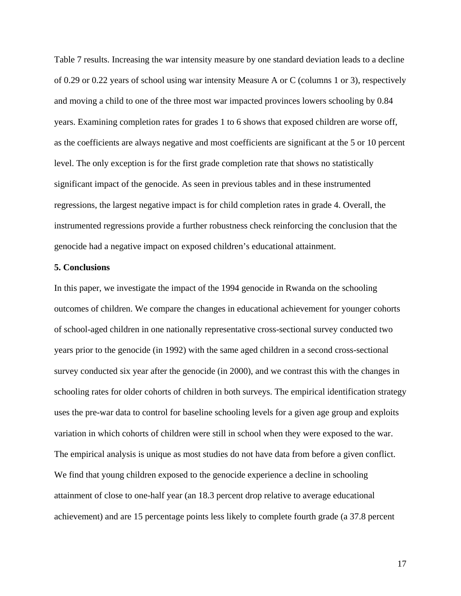Table 7 results. Increasing the war intensity measure by one standard deviation leads to a decline of 0.29 or 0.22 years of school using war intensity Measure A or C (columns 1 or 3), respectively and moving a child to one of the three most war impacted provinces lowers schooling by 0.84 years. Examining completion rates for grades 1 to 6 shows that exposed children are worse off, as the coefficients are always negative and most coefficients are significant at the 5 or 10 percent level. The only exception is for the first grade completion rate that shows no statistically significant impact of the genocide. As seen in previous tables and in these instrumented regressions, the largest negative impact is for child completion rates in grade 4. Overall, the instrumented regressions provide a further robustness check reinforcing the conclusion that the genocide had a negative impact on exposed children's educational attainment.

## **5. Conclusions**

In this paper, we investigate the impact of the 1994 genocide in Rwanda on the schooling outcomes of children. We compare the changes in educational achievement for younger cohorts of school-aged children in one nationally representative cross-sectional survey conducted two years prior to the genocide (in 1992) with the same aged children in a second cross-sectional survey conducted six year after the genocide (in 2000), and we contrast this with the changes in schooling rates for older cohorts of children in both surveys. The empirical identification strategy uses the pre-war data to control for baseline schooling levels for a given age group and exploits variation in which cohorts of children were still in school when they were exposed to the war. The empirical analysis is unique as most studies do not have data from before a given conflict. We find that young children exposed to the genocide experience a decline in schooling attainment of close to one-half year (an 18.3 percent drop relative to average educational achievement) and are 15 percentage points less likely to complete fourth grade (a 37.8 percent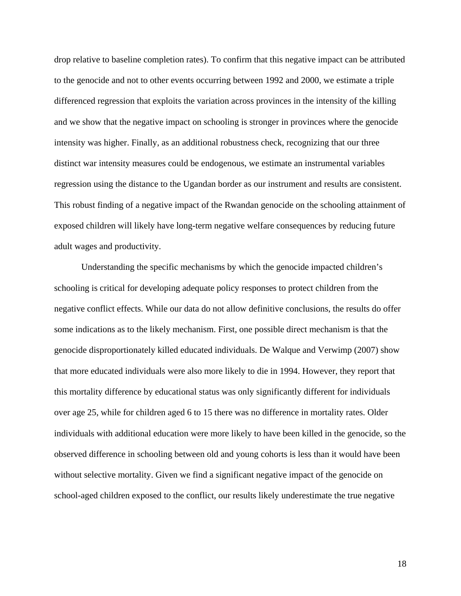drop relative to baseline completion rates). To confirm that this negative impact can be attributed to the genocide and not to other events occurring between 1992 and 2000, we estimate a triple differenced regression that exploits the variation across provinces in the intensity of the killing and we show that the negative impact on schooling is stronger in provinces where the genocide intensity was higher. Finally, as an additional robustness check, recognizing that our three distinct war intensity measures could be endogenous, we estimate an instrumental variables regression using the distance to the Ugandan border as our instrument and results are consistent. This robust finding of a negative impact of the Rwandan genocide on the schooling attainment of exposed children will likely have long-term negative welfare consequences by reducing future adult wages and productivity.

Understanding the specific mechanisms by which the genocide impacted children's schooling is critical for developing adequate policy responses to protect children from the negative conflict effects. While our data do not allow definitive conclusions, the results do offer some indications as to the likely mechanism. First, one possible direct mechanism is that the genocide disproportionately killed educated individuals. De Walque and Verwimp (2007) show that more educated individuals were also more likely to die in 1994. However, they report that this mortality difference by educational status was only significantly different for individuals over age 25, while for children aged 6 to 15 there was no difference in mortality rates. Older individuals with additional education were more likely to have been killed in the genocide, so the observed difference in schooling between old and young cohorts is less than it would have been without selective mortality. Given we find a significant negative impact of the genocide on school-aged children exposed to the conflict, our results likely underestimate the true negative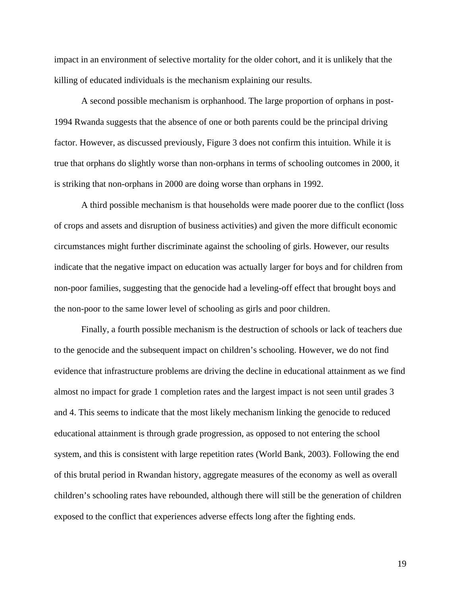impact in an environment of selective mortality for the older cohort, and it is unlikely that the killing of educated individuals is the mechanism explaining our results.

A second possible mechanism is orphanhood. The large proportion of orphans in post-1994 Rwanda suggests that the absence of one or both parents could be the principal driving factor. However, as discussed previously, Figure 3 does not confirm this intuition. While it is true that orphans do slightly worse than non-orphans in terms of schooling outcomes in 2000, it is striking that non-orphans in 2000 are doing worse than orphans in 1992.

A third possible mechanism is that households were made poorer due to the conflict (loss of crops and assets and disruption of business activities) and given the more difficult economic circumstances might further discriminate against the schooling of girls. However, our results indicate that the negative impact on education was actually larger for boys and for children from non-poor families, suggesting that the genocide had a leveling-off effect that brought boys and the non-poor to the same lower level of schooling as girls and poor children.

Finally, a fourth possible mechanism is the destruction of schools or lack of teachers due to the genocide and the subsequent impact on children's schooling. However, we do not find evidence that infrastructure problems are driving the decline in educational attainment as we find almost no impact for grade 1 completion rates and the largest impact is not seen until grades 3 and 4. This seems to indicate that the most likely mechanism linking the genocide to reduced educational attainment is through grade progression, as opposed to not entering the school system, and this is consistent with large repetition rates (World Bank, 2003). Following the end of this brutal period in Rwandan history, aggregate measures of the economy as well as overall children's schooling rates have rebounded, although there will still be the generation of children exposed to the conflict that experiences adverse effects long after the fighting ends.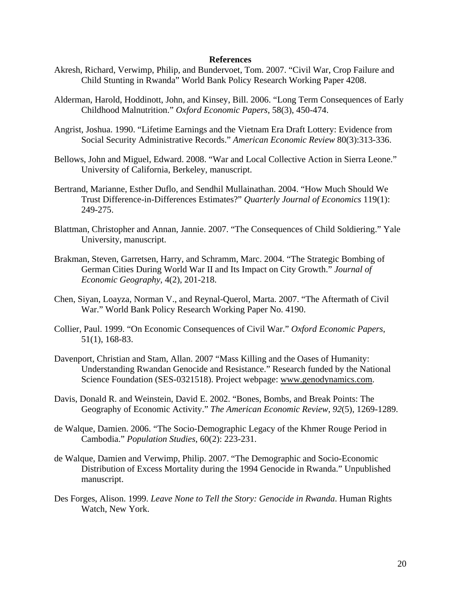### **References**

- Akresh, Richard, Verwimp, Philip, and Bundervoet, Tom. 2007. "Civil War, Crop Failure and Child Stunting in Rwanda" World Bank Policy Research Working Paper 4208.
- Alderman, Harold, Hoddinott, John, and Kinsey, Bill. 2006. "Long Term Consequences of Early Childhood Malnutrition." *Oxford Economic Papers*, 58(3), 450-474.
- Angrist, Joshua. 1990. "Lifetime Earnings and the Vietnam Era Draft Lottery: Evidence from Social Security Administrative Records." *American Economic Review* 80(3):313-336.
- Bellows, John and Miguel, Edward. 2008. "War and Local Collective Action in Sierra Leone." University of California, Berkeley, manuscript.
- Bertrand, Marianne, Esther Duflo, and Sendhil Mullainathan. 2004. "How Much Should We Trust Difference-in-Differences Estimates?" *Quarterly Journal of Economics* 119(1): 249-275.
- Blattman, Christopher and Annan, Jannie. 2007. "The Consequences of Child Soldiering." Yale University, manuscript.
- Brakman, Steven, Garretsen, Harry, and Schramm, Marc. 2004. "The Strategic Bombing of German Cities During World War II and Its Impact on City Growth." *Journal of Economic Geography*, 4(2), 201-218.
- Chen, Siyan, Loayza, Norman V., and Reynal-Querol, Marta. 2007. "The Aftermath of Civil War." World Bank Policy Research Working Paper No. 4190.
- Collier, Paul. 1999. "On Economic Consequences of Civil War." *Oxford Economic Papers,* 51(1), 168-83.
- Davenport, Christian and Stam, Allan. 2007 "Mass Killing and the Oases of Humanity: Understanding Rwandan Genocide and Resistance." Research funded by the National Science Foundation (SES-0321518). Project webpage: www.genodynamics.com.
- Davis, Donald R. and Weinstein, David E. 2002. "Bones, Bombs, and Break Points: The Geography of Economic Activity." *The American Economic Review*, *92*(5), 1269-1289.
- de Walque, Damien. 2006. "The Socio-Demographic Legacy of the Khmer Rouge Period in Cambodia." *Population Studies*, 60(2): 223-231.
- de Walque, Damien and Verwimp, Philip. 2007. "The Demographic and Socio-Economic Distribution of Excess Mortality during the 1994 Genocide in Rwanda." Unpublished manuscript.
- Des Forges, Alison. 1999. *Leave None to Tell the Story: Genocide in Rwanda*. Human Rights Watch, New York.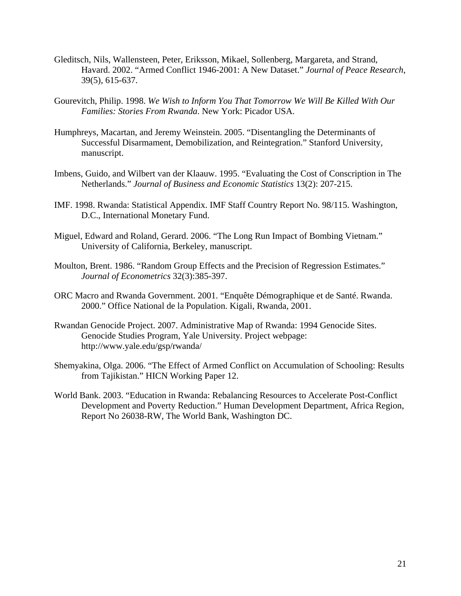- Gleditsch, Nils, Wallensteen, Peter, Eriksson, Mikael, Sollenberg, Margareta, and Strand, Havard. 2002. "Armed Conflict 1946-2001: A New Dataset." *Journal of Peace Research*, 39(5), 615-637.
- Gourevitch, Philip. 1998. *We Wish to Inform You That Tomorrow We Will Be Killed With Our Families: Stories From Rwanda*. New York: Picador USA.
- Humphreys, Macartan, and Jeremy Weinstein. 2005. "Disentangling the Determinants of Successful Disarmament, Demobilization, and Reintegration." Stanford University, manuscript.
- Imbens, Guido, and Wilbert van der Klaauw. 1995. "Evaluating the Cost of Conscription in The Netherlands." *Journal of Business and Economic Statistics* 13(2): 207-215.
- IMF. 1998. Rwanda: Statistical Appendix. IMF Staff Country Report No. 98/115. Washington, D.C., International Monetary Fund.
- Miguel, Edward and Roland, Gerard. 2006. "The Long Run Impact of Bombing Vietnam." University of California, Berkeley, manuscript.
- Moulton, Brent. 1986. "Random Group Effects and the Precision of Regression Estimates." *Journal of Econometrics* 32(3):385-397.
- ORC Macro and Rwanda Government. 2001. "Enquête Démographique et de Santé. Rwanda. 2000." Office National de la Population. Kigali, Rwanda, 2001.
- Rwandan Genocide Project. 2007. Administrative Map of Rwanda: 1994 Genocide Sites. Genocide Studies Program, Yale University. Project webpage: http://www.yale.edu/gsp/rwanda/
- Shemyakina, Olga. 2006. "The Effect of Armed Conflict on Accumulation of Schooling: Results from Tajikistan." HICN Working Paper 12.
- World Bank. 2003. "Education in Rwanda: Rebalancing Resources to Accelerate Post-Conflict Development and Poverty Reduction." Human Development Department, Africa Region, Report No 26038-RW, The World Bank, Washington DC.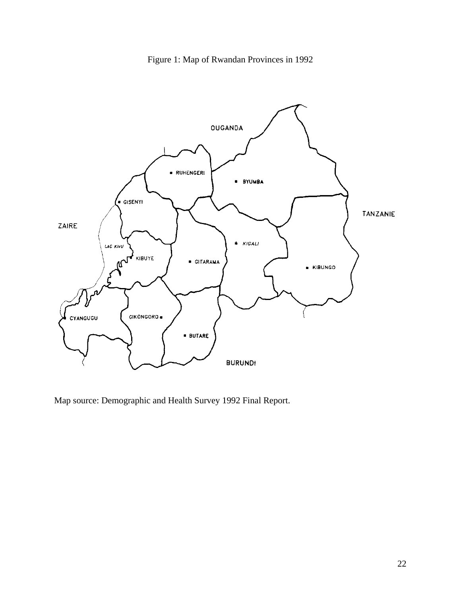Figure 1: Map of Rwandan Provinces in 1992



Map source: Demographic and Health Survey 1992 Final Report.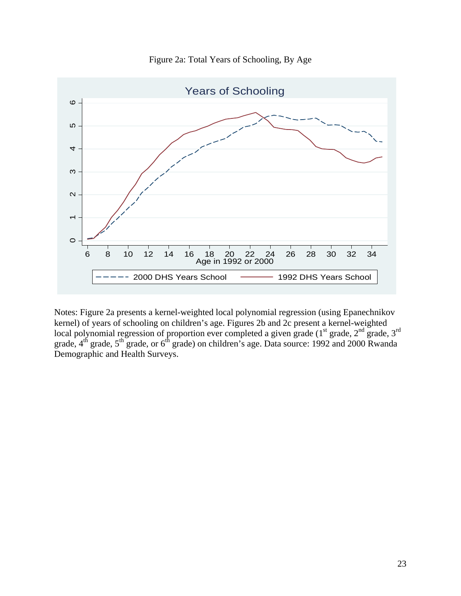

Figure 2a: Total Years of Schooling, By Age

Notes: Figure 2a presents a kernel-weighted local polynomial regression (using Epanechnikov kernel) of years of schooling on children's age. Figures 2b and 2c present a kernel-weighted local polynomial regression of proportion ever completed a given grade ( $1<sup>st</sup>$  grade,  $2<sup>nd</sup>$  grade,  $3<sup>rd</sup>$ grade,  $4<sup>th</sup>$  grade,  $5<sup>th</sup>$  grade, or  $6<sup>th</sup>$  grade) on children's age. Data source: 1992 and 2000 Rwanda Demographic and Health Surveys.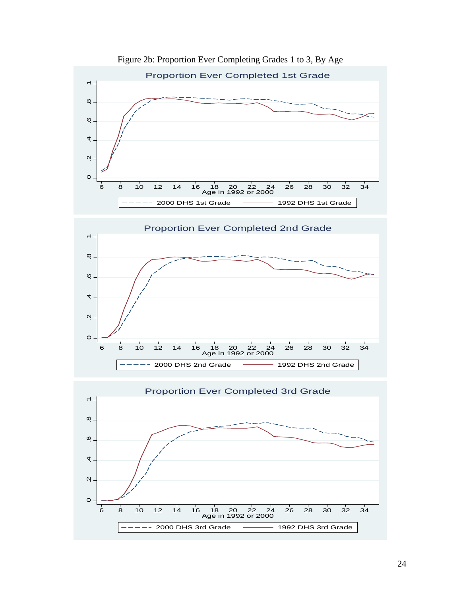

Figure 2b: Proportion Ever Completing Grades 1 to 3, By Age



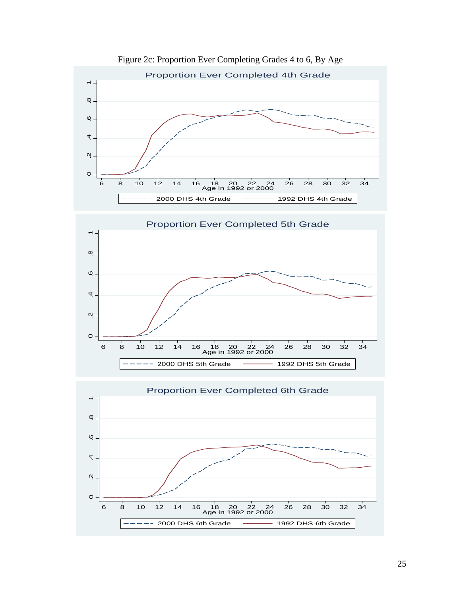

Figure 2c: Proportion Ever Completing Grades 4 to 6, By Age

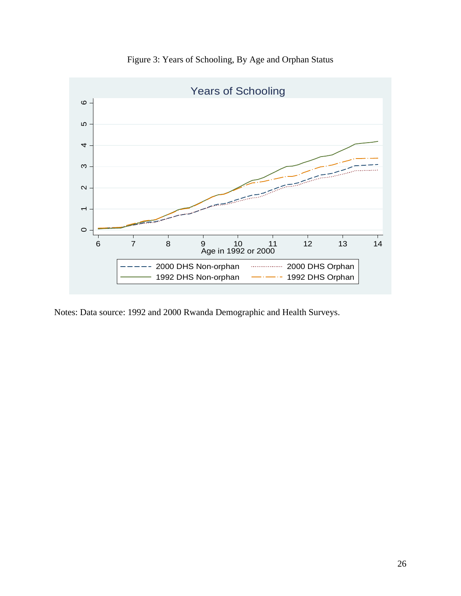

Figure 3: Years of Schooling, By Age and Orphan Status

Notes: Data source: 1992 and 2000 Rwanda Demographic and Health Surveys.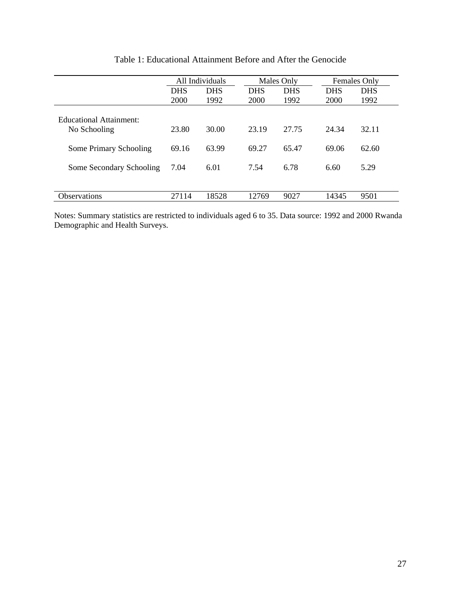|                                         | All Individuals |            | Males Only |            | Females Only |            |
|-----------------------------------------|-----------------|------------|------------|------------|--------------|------------|
|                                         | <b>DHS</b>      | <b>DHS</b> | <b>DHS</b> | <b>DHS</b> | <b>DHS</b>   | <b>DHS</b> |
|                                         | 2000            | 1992       | 2000       | 1992       | 2000         | 1992       |
| Educational Attainment:<br>No Schooling | 23.80           | 30.00      | 23.19      | 27.75      | 24.34        | 32.11      |
| Some Primary Schooling                  | 69.16           | 63.99      | 69.27      | 65.47      | 69.06        | 62.60      |
| Some Secondary Schooling                | 7.04            | 6.01       | 7.54       | 6.78       | 6.60         | 5.29       |
| <b>Observations</b>                     | 27114           | 18528      | 12769      | 9027       | 14345        | 9501       |

Table 1: Educational Attainment Before and After the Genocide

Notes: Summary statistics are restricted to individuals aged 6 to 35. Data source: 1992 and 2000 Rwanda Demographic and Health Surveys.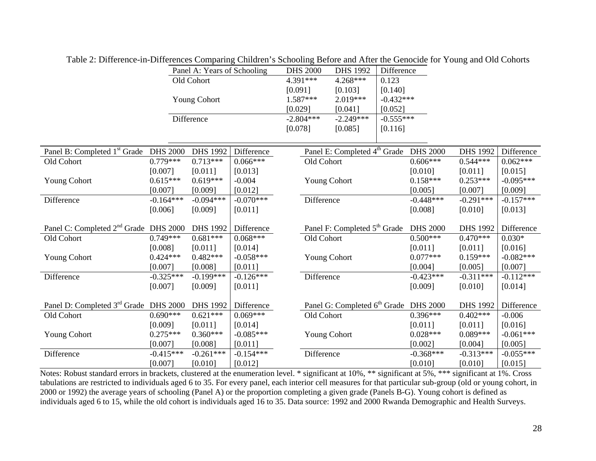|                                                   |                 | Panel A: Years of Schooling |             | <b>DHS 2000</b>     | DHS 1992                                 | Difference  |                 |                 |             |
|---------------------------------------------------|-----------------|-----------------------------|-------------|---------------------|------------------------------------------|-------------|-----------------|-----------------|-------------|
|                                                   |                 | Old Cohort                  |             | 4.391***            | 4.268***                                 | 0.123       |                 |                 |             |
|                                                   |                 |                             |             | [0.091]             | [0.103]                                  | [0.140]     |                 |                 |             |
|                                                   |                 | <b>Young Cohort</b>         |             | 1.587***            | 2.019***                                 | $-0.432***$ |                 |                 |             |
|                                                   |                 |                             |             | [0.029]             | [0.041]                                  | [0.052]     |                 |                 |             |
|                                                   |                 | Difference                  |             | $-2.804***$         | $-2.249***$                              | $-0.555***$ |                 |                 |             |
|                                                   |                 |                             |             | [0.078]             | [0.085]                                  | [0.116]     |                 |                 |             |
|                                                   |                 |                             |             |                     |                                          |             |                 |                 |             |
| Panel B: Completed 1 <sup>st</sup> Grade          | <b>DHS 2000</b> | <b>DHS 1992</b>             | Difference  |                     | Panel E: Completed 4 <sup>th</sup> Grade |             | <b>DHS 2000</b> | <b>DHS 1992</b> | Difference  |
| Old Cohort                                        | $0.779***$      | $0.713***$                  | $0.066***$  | Old Cohort          |                                          |             | $0.606***$      | $0.544***$      | $0.062***$  |
|                                                   | [0.007]         | [0.011]                     | [0.013]     |                     |                                          |             | [0.010]         | [0.011]         | [0.015]     |
| <b>Young Cohort</b>                               | $0.615***$      | $0.619***$                  | $-0.004$    | <b>Young Cohort</b> |                                          |             | $0.158***$      | $0.253***$      | $-0.095***$ |
|                                                   | [0.007]         | [0.009]                     | [0.012]     |                     |                                          |             | [0.005]         | [0.007]         | [0.009]     |
| Difference                                        | $-0.164***$     | $-0.094***$                 | $-0.070***$ | Difference          |                                          |             | $-0.448***$     | $-0.291***$     | $-0.157***$ |
|                                                   | [0.006]         | [0.009]                     | [0.011]     |                     |                                          |             | [0.008]         | [0.010]         | [0.013]     |
| Panel C: Completed 2 <sup>nd</sup> Grade DHS 2000 |                 | <b>DHS 1992</b>             | Difference  |                     | Panel F: Completed 5 <sup>th</sup> Grade |             | <b>DHS 2000</b> | <b>DHS 1992</b> | Difference  |
| Old Cohort                                        | $0.749***$      | $0.681***$                  | $0.068***$  | Old Cohort          |                                          |             | $0.500***$      | $0.470***$      | $0.030*$    |
|                                                   | [0.008]         | [0.011]                     | [0.014]     |                     |                                          |             | [0.011]         | [0.011]         | [0.016]     |
| <b>Young Cohort</b>                               | $0.424***$      | $0.482***$                  | $-0.058***$ | <b>Young Cohort</b> |                                          |             | $0.077***$      | $0.159***$      | $-0.082***$ |
|                                                   | [0.007]         | [0.008]                     | [0.011]     |                     |                                          |             | [0.004]         | [0.005]         | [0.007]     |
| Difference                                        | $-0.325***$     | $-0.199***$                 | $-0.126***$ | Difference          |                                          |             | $-0.423***$     | $-0.311***$     | $-0.112***$ |
|                                                   | [0.007]         | [0.009]                     | [0.011]     |                     |                                          |             | [0.009]         | [0.010]         | [0.014]     |
|                                                   |                 |                             |             |                     |                                          |             |                 |                 |             |
| Panel D: Completed 3 <sup>rd</sup> Grade DHS 2000 |                 | DHS 1992                    | Difference  |                     | Panel G: Completed 6 <sup>th</sup> Grade |             | <b>DHS 2000</b> | <b>DHS 1992</b> | Difference  |
| Old Cohort                                        | $0.690***$      | $0.621***$                  | $0.069***$  | Old Cohort          |                                          |             | $0.396***$      | $0.402***$      | $-0.006$    |
|                                                   | [0.009]         | [0.011]                     | [0.014]     |                     |                                          |             | [0.011]         | [0.011]         | [0.016]     |
| <b>Young Cohort</b>                               | $0.275***$      | $0.360***$                  | $-0.085***$ | <b>Young Cohort</b> |                                          |             | $0.028***$      | $0.089***$      | $-0.061***$ |
|                                                   | [0.007]         | [0.008]                     | [0.011]     |                     |                                          |             | [0.002]         | [0.004]         | [0.005]     |
| Difference                                        | $-0.415***$     | $-0.261***$                 | $-0.154***$ | Difference          |                                          |             | $-0.368***$     | $-0.313***$     | $-0.055***$ |
|                                                   | [0.007]         | [0.010]                     | [0.012]     |                     |                                          |             | [0.010]         | [0.010]         | [0.015]     |

Table 2: Difference-in-Differences Comparing Children's Schooling Before and After the Genocide for Young and Old Cohorts

Notes: Robust standard errors in brackets, clustered at the enumeration level. \* significant at 10%, \*\* significant at 5%, \*\*\* significant at 1%. Cross tabulations are restricted to individuals aged 6 to 35. For every panel, each interior cell measures for that particular sub-group (old or young cohort, in 2000 or 1992) the average years of schooling (Panel A) or the proportion completing a given grade (Panels B-G). Young cohort is defined as individuals aged 6 to 15, while the old cohort is individuals aged 16 to 35. Data source: 1992 and 2000 Rwanda Demographic and Health Surveys.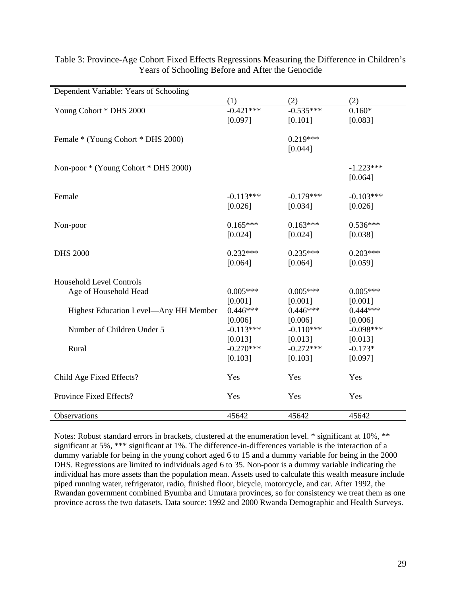| Dependent Variable: Years of Schooling |             |             |             |
|----------------------------------------|-------------|-------------|-------------|
|                                        | (1)         | (2)         | (2)         |
| Young Cohort * DHS 2000                | $-0.421***$ | $-0.535***$ | $0.160*$    |
|                                        | [0.097]     | [0.101]     | [0.083]     |
| Female * (Young Cohort * DHS 2000)     |             | $0.219***$  |             |
|                                        |             | [0.044]     |             |
|                                        |             |             |             |
| Non-poor * (Young Cohort * DHS 2000)   |             |             | $-1.223***$ |
|                                        |             |             | [0.064]     |
| Female                                 | $-0.113***$ | $-0.179***$ | $-0.103***$ |
|                                        | [0.026]     | [0.034]     | [0.026]     |
| Non-poor                               | $0.165***$  | $0.163***$  | $0.536***$  |
|                                        | [0.024]     | [0.024]     | [0.038]     |
|                                        |             |             |             |
| <b>DHS 2000</b>                        | $0.232***$  | $0.235***$  | $0.203***$  |
|                                        | [0.064]     | [0.064]     | [0.059]     |
| <b>Household Level Controls</b>        |             |             |             |
| Age of Household Head                  | $0.005***$  | $0.005***$  | $0.005***$  |
|                                        | [0.001]     | [0.001]     | [0.001]     |
| Highest Education Level-Any HH Member  | $0.446***$  | $0.446***$  | $0.444***$  |
|                                        | [0.006]     | [0.006]     | [0.006]     |
| Number of Children Under 5             | $-0.113***$ | $-0.110***$ | $-0.098***$ |
|                                        | [0.013]     | [0.013]     | [0.013]     |
| Rural                                  | $-0.270***$ | $-0.272***$ | $-0.173*$   |
|                                        | [0.103]     | [0.103]     | [0.097]     |
| Child Age Fixed Effects?               | Yes         | Yes         | Yes         |
| Province Fixed Effects?                | Yes         | Yes         | Yes         |
| Observations                           | 45642       | 45642       | 45642       |

# Table 3: Province-Age Cohort Fixed Effects Regressions Measuring the Difference in Children's Years of Schooling Before and After the Genocide

Notes: Robust standard errors in brackets, clustered at the enumeration level. \* significant at 10%, \*\* significant at 5%, \*\*\* significant at 1%. The difference-in-differences variable is the interaction of a dummy variable for being in the young cohort aged 6 to 15 and a dummy variable for being in the 2000 DHS. Regressions are limited to individuals aged 6 to 35. Non-poor is a dummy variable indicating the individual has more assets than the population mean. Assets used to calculate this wealth measure include piped running water, refrigerator, radio, finished floor, bicycle, motorcycle, and car. After 1992, the Rwandan government combined Byumba and Umutara provinces, so for consistency we treat them as one province across the two datasets. Data source: 1992 and 2000 Rwanda Demographic and Health Surveys.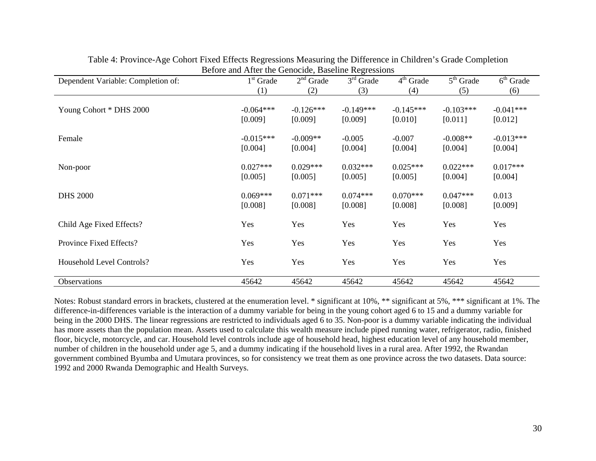|                                    | $50000$ and $1$ fitter and $0000000$ |                        |                        |                        |                        |                                  |
|------------------------------------|--------------------------------------|------------------------|------------------------|------------------------|------------------------|----------------------------------|
| Dependent Variable: Completion of: | $1st$ Grade                          | $2nd$ Grade            | $3rd$ Grade            | $4th$ Grade            | $5th$ Grade            | $\overline{6}^{\text{th}}$ Grade |
|                                    | (1)                                  | (2)                    | (3)                    | (4)                    | (5)                    | (6)                              |
| Young Cohort * DHS 2000            | $-0.064***$<br>[0.009]               | $-0.126***$<br>[0.009] | $-0.149***$<br>[0.009] | $-0.145***$<br>[0.010] | $-0.103***$<br>[0.011] | $-0.041***$<br>[0.012]           |
| Female                             | $-0.015***$<br>[0.004]               | $-0.009**$<br>[0.004]  | $-0.005$<br>[0.004]    | $-0.007$<br>[0.004]    | $-0.008**$<br>[0.004]  | $-0.013***$<br>[0.004]           |
| Non-poor                           | $0.027***$<br>[0.005]                | $0.029***$<br>[0.005]  | $0.032***$<br>[0.005]  | $0.025***$<br>[0.005]  | $0.022***$<br>[0.004]  | $0.017***$<br>[0.004]            |
| <b>DHS 2000</b>                    | $0.069***$<br>[0.008]                | $0.071***$<br>[0.008]  | $0.074***$<br>[0.008]  | $0.070***$<br>[0.008]  | $0.047***$<br>[0.008]  | 0.013<br>[0.009]                 |
| Child Age Fixed Effects?           | Yes                                  | Yes                    | Yes                    | Yes                    | Yes                    | Yes                              |
| Province Fixed Effects?            | Yes                                  | Yes                    | Yes                    | Yes                    | Yes                    | Yes                              |
| <b>Household Level Controls?</b>   | Yes                                  | Yes                    | Yes                    | Yes                    | Yes                    | Yes                              |
| Observations                       | 45642                                | 45642                  | 45642                  | 45642                  | 45642                  | 45642                            |

Table 4: Province-Age Cohort Fixed Effects Regressions Measuring the Difference in Children's Grade Completion Before and After the Genocide, Baseline Regressions

Notes: Robust standard errors in brackets, clustered at the enumeration level. \* significant at 10%, \*\* significant at 5%, \*\*\* significant at 1%. The difference-in-differences variable is the interaction of a dummy variable for being in the young cohort aged 6 to 15 and a dummy variable for being in the 2000 DHS. The linear regressions are restricted to individuals aged 6 to 35. Non-poor is a dummy variable indicating the individual has more assets than the population mean. Assets used to calculate this wealth measure include piped running water, refrigerator, radio, finished floor, bicycle, motorcycle, and car. Household level controls include age of household head, highest education level of any household member, number of children in the household under age 5, and a dummy indicating if the household lives in a rural area. After 1992, the Rwandan government combined Byumba and Umutara provinces, so for consistency we treat them as one province across the two datasets. Data source: 1992 and 2000 Rwanda Demographic and Health Surveys.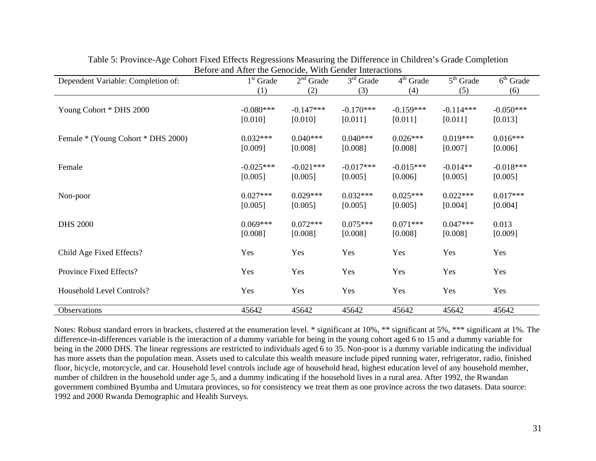| Dependent Variable: Completion of: | $1st$ Grade            | $2nd$ Grade            | $3rd$ Grade            | $4th$ Grade            | $\overline{5}^{\text{th}}$ Grade | $6th$ Grade            |
|------------------------------------|------------------------|------------------------|------------------------|------------------------|----------------------------------|------------------------|
|                                    | (1)                    | (2)                    | (3)                    | (4)                    | (5)                              | (6)                    |
| Young Cohort * DHS 2000            | $-0.080***$<br>[0.010] | $-0.147***$<br>[0.010] | $-0.170***$<br>[0.011] | $-0.159***$<br>[0.011] | $-0.114***$<br>[0.011]           | $-0.050***$<br>[0.013] |
| Female * (Young Cohort * DHS 2000) | $0.032***$<br>[0.009]  | $0.040***$<br>[0.008]  | $0.040***$<br>[0.008]  | $0.026***$<br>[0.008]  | $0.019***$<br>[0.007]            | $0.016***$<br>[0.006]  |
| Female                             | $-0.025***$<br>[0.005] | $-0.021***$<br>[0.005] | $-0.017***$<br>[0.005] | $-0.015***$<br>[0.006] | $-0.014**$<br>[0.005]            | $-0.018***$<br>[0.005] |
| Non-poor                           | $0.027***$<br>[0.005]  | $0.029***$<br>[0.005]  | $0.032***$<br>[0.005]  | $0.025***$<br>[0.005]  | $0.022***$<br>[0.004]            | $0.017***$<br>[0.004]  |
| <b>DHS 2000</b>                    | $0.069***$<br>[0.008]  | $0.072***$<br>[0.008]  | $0.075***$<br>[0.008]  | $0.071***$<br>[0.008]  | $0.047***$<br>[0.008]            | 0.013<br>[0.009]       |
| Child Age Fixed Effects?           | Yes                    | Yes                    | Yes                    | Yes                    | Yes                              | Yes                    |
| Province Fixed Effects?            | Yes                    | Yes                    | Yes                    | Yes                    | Yes                              | Yes                    |
| Household Level Controls?          | Yes                    | Yes                    | Yes                    | Yes                    | Yes                              | Yes                    |
| Observations                       | 45642                  | 45642                  | 45642                  | 45642                  | 45642                            | 45642                  |

Table 5: Province-Age Cohort Fixed Effects Regressions Measuring the Difference in Children's Grade Completion Before and After the Genocide, With Gender Interactions

Notes: Robust standard errors in brackets, clustered at the enumeration level. \* significant at 10%, \*\* significant at 5%, \*\*\* significant at 1%. The difference-in-differences variable is the interaction of a dummy variable for being in the young cohort aged 6 to 15 and a dummy variable for being in the 2000 DHS. The linear regressions are restricted to individuals aged 6 to 35. Non-poor is a dummy variable indicating the individual has more assets than the population mean. Assets used to calculate this wealth measure include piped running water, refrigerator, radio, finished floor, bicycle, motorcycle, and car. Household level controls include age of household head, highest education level of any household member, number of children in the household under age 5, and a dummy indicating if the household lives in a rural area. After 1992, the Rwandan government combined Byumba and Umutara provinces, so for consistency we treat them as one province across the two datasets. Data source: 1992 and 2000 Rwanda Demographic and Health Surveys.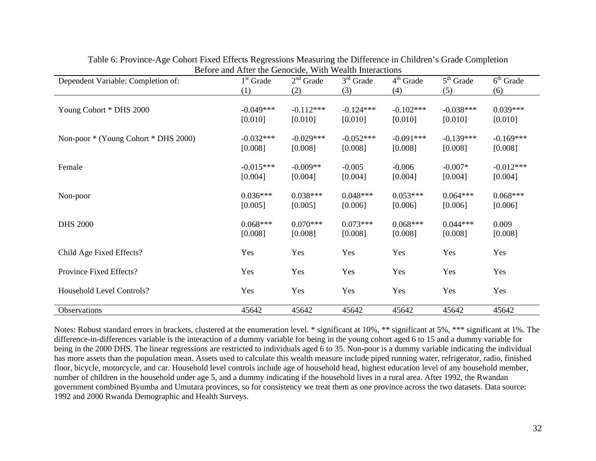| Dependent Variable: Completion of:   | $1st$ Grade            | $2nd$ Grade            | $3rd$ Grade            | $4th$ Grade            | $5th$ Grade            | $6th$ Grade            |
|--------------------------------------|------------------------|------------------------|------------------------|------------------------|------------------------|------------------------|
|                                      | (1)                    | (2)                    | (3)                    | (4)                    | (5)                    | (6)                    |
| Young Cohort * DHS 2000              | $-0.049***$<br>[0.010] | $-0.112***$<br>[0.010] | $-0.124***$<br>[0.010] | $-0.102***$<br>[0.010] | $-0.038***$<br>[0.010] | $0.039***$<br>[0.010]  |
| Non-poor * (Young Cohort * DHS 2000) | $-0.032***$<br>[0.008] | $-0.029***$<br>[0.008] | $-0.052***$<br>[0.008] | $-0.091***$<br>[0.008] | $-0.139***$<br>[0.008] | $-0.169***$<br>[0.008] |
| Female                               | $-0.015***$<br>[0.004] | $-0.009**$<br>[0.004]  | $-0.005$<br>[0.004]    | $-0.006$<br>[0.004]    | $-0.007*$<br>[0.004]   | $-0.012***$<br>[0.004] |
| Non-poor                             | $0.036***$<br>[0.005]  | $0.038***$<br>[0.005]  | $0.048***$<br>[0.006]  | $0.053***$<br>[0.006]  | $0.064***$<br>[0.006]  | $0.068***$<br>[0.006]  |
| <b>DHS 2000</b>                      | $0.068***$<br>[0.008]  | $0.070***$<br>[0.008]  | $0.073***$<br>[0.008]  | $0.068***$<br>[0.008]  | $0.044***$<br>[0.008]  | 0.009<br>[0.008]       |
| Child Age Fixed Effects?             | Yes                    | Yes                    | Yes                    | Yes                    | Yes                    | Yes                    |
| Province Fixed Effects?              | Yes                    | Yes                    | Yes                    | Yes                    | Yes                    | Yes                    |
| Household Level Controls?            | Yes                    | Yes                    | Yes                    | Yes                    | Yes                    | Yes                    |
| Observations                         | 45642                  | 45642                  | 45642                  | 45642                  | 45642                  | 45642                  |

Table 6: Province-Age Cohort Fixed Effects Regressions Measuring the Difference in Children's Grade Completion Before and After the Genocide, With Wealth Interactions

Notes: Robust standard errors in brackets, clustered at the enumeration level. \* significant at 10%, \*\* significant at 5%, \*\*\* significant at 1%. The difference-in-differences variable is the interaction of a dummy variable for being in the young cohort aged 6 to 15 and a dummy variable for being in the 2000 DHS. The linear regressions are restricted to individuals aged 6 to 35. Non-poor is a dummy variable indicating the individual has more assets than the population mean. Assets used to calculate this wealth measure include piped running water, refrigerator, radio, finished floor, bicycle, motorcycle, and car. Household level controls include age of household head, highest education level of any household member, number of children in the household under age 5, and a dummy indicating if the household lives in a rural area. After 1992, the Rwandan government combined Byumba and Umutara provinces, so for consistency we treat them as one province across the two datasets. Data source: 1992 and 2000 Rwanda Demographic and Health Surveys.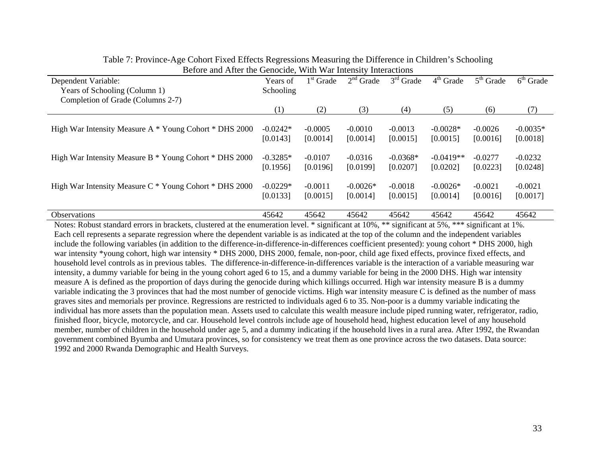| Dependent Variable:                                        | Years of   | $1st$ Grade | $2nd$ Grade | $3rd$ Grade | $4th$ Grade | $5th$ Grade | $6th$ Grade |
|------------------------------------------------------------|------------|-------------|-------------|-------------|-------------|-------------|-------------|
| Years of Schooling (Column 1)                              | Schooling  |             |             |             |             |             |             |
| Completion of Grade (Columns 2-7)                          |            |             |             |             |             |             |             |
|                                                            | (1)        | (2)         | (3)         | (4)         | (5)         | (6)         | (7)         |
|                                                            |            |             |             |             |             |             |             |
| High War Intensity Measure A * Young Cohort * DHS 2000     | $-0.0242*$ | $-0.0005$   | $-0.0010$   | $-0.0013$   | $-0.0028*$  | $-0.0026$   | $-0.0035*$  |
|                                                            | [0.0143]   | [0.0014]    | [0.0014]    | [0.0015]    | [0.0015]    | [0.0016]    | [0.0018]    |
|                                                            |            |             |             |             |             |             |             |
| High War Intensity Measure B * Young Cohort * DHS 2000     | $-0.3285*$ | $-0.0107$   | $-0.0316$   | $-0.0368*$  | $-0.0419**$ | $-0.0277$   | $-0.0232$   |
|                                                            | [0.1956]   | [0.0196]    | [0.0199]    | [0.0207]    | [0.0202]    | [0.0223]    | [0.0248]    |
|                                                            |            |             |             |             |             |             |             |
| High War Intensity Measure $C^*$ Young Cohort $*$ DHS 2000 | $-0.0229*$ | $-0.0011$   | $-0.0026*$  | $-0.0018$   | $-0.0026*$  | $-0.0021$   | $-0.0021$   |
|                                                            | [0.0133]   | [0.0015]    | [0.0014]    | [0.0015]    | [0.0014]    | [0.0016]    | [0.0017]    |
|                                                            |            |             |             |             |             |             |             |
| <b>Observations</b>                                        | 45642      | 45642       | 45642       | 45642       | 45642       | 45642       | 45642       |

# Table 7: Province-Age Cohort Fixed Effects Regressions Measuring the Difference in Children's Schooling Before and After the Genocide, With War Intensity Interactions

Notes: Robust standard errors in brackets, clustered at the enumeration level. \* significant at 10%, \*\* significant at 5%, \*\*\* significant at 1%. Each cell represents a separate regression where the dependent variable is as indicated at the top of the column and the independent variables include the following variables (in addition to the difference-in-difference-in-differences coefficient presented): young cohort \* DHS 2000, high war intensity \*young cohort, high war intensity \* DHS 2000, DHS 2000, female, non-poor, child age fixed effects, province fixed effects, and household level controls as in previous tables. The difference-in-difference-in-differences variable is the interaction of a variable measuring war intensity, a dummy variable for being in the young cohort aged 6 to 15, and a dummy variable for being in the 2000 DHS. High war intensity measure A is defined as the proportion of days during the genocide during which killings occurred. High war intensity measure B is a dummy variable indicating the 3 provinces that had the most number of genocide victims. High war intensity measure C is defined as the number of mass graves sites and memorials per province. Regressions are restricted to individuals aged 6 to 35. Non-poor is a dummy variable indicating the individual has more assets than the population mean. Assets used to calculate this wealth measure include piped running water, refrigerator, radio, finished floor, bicycle, motorcycle, and car. Household level controls include age of household head, highest education level of any household member, number of children in the household under age 5, and a dummy indicating if the household lives in a rural area. After 1992, the Rwandan government combined Byumba and Umutara provinces, so for consistency we treat them as one province across the two datasets. Data source: 1992 and 2000 Rwanda Demographic and Health Surveys.